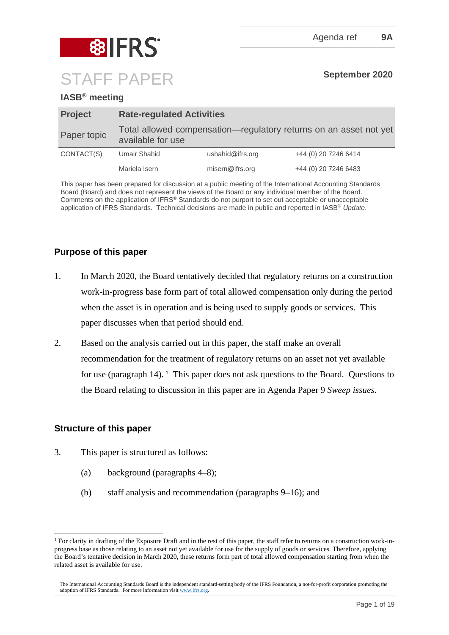

# **IASB® meeting**

| <b>Project</b> | <b>Rate-regulated Activities</b> |                  |                                                                   |  |  |  |  |
|----------------|----------------------------------|------------------|-------------------------------------------------------------------|--|--|--|--|
| Paper topic    | available for use                |                  | Total allowed compensation—regulatory returns on an asset not yet |  |  |  |  |
| CONTACT(S)     | Umair Shahid                     | ushahid@ifrs.org | +44 (0) 20 7246 6414                                              |  |  |  |  |
|                | Mariela Isern                    | misern@ifrs.org  | +44 (0) 20 7246 6483                                              |  |  |  |  |

This paper has been prepared for discussion at a public meeting of the International Accounting Standards Board (Board) and does not represent the views of the Board or any individual member of the Board. Comments on the application of IFRS® Standards do not purport to set out acceptable or unacceptable application of IFRS Standards. Technical decisions are made in public and reported in IASB® *Update*.

# **Purpose of this paper**

- 1. In March 2020, the Board tentatively decided that regulatory returns on a construction work-in-progress base form part of total allowed compensation only during the period when the asset is in operation and is being used to supply goods or services. This paper discusses when that period should end.
- 2. Based on the analysis carried out in this paper, the staff make an overall recommendation for the treatment of regulatory returns on an asset not yet available for use (paragraph  $14$  $14$ ). <sup>1</sup> This paper does not ask questions to the Board. Questions to the Board relating to discussion in this paper are in Agenda Paper 9 *Sweep issues*.

# **Structure of this paper**

- 3. This paper is structured as follows:
	- (a) background (paragraphs 4–8);
	- (b) staff analysis and recommendation (paragraphs 9–16); and

<span id="page-0-0"></span><sup>&</sup>lt;sup>1</sup> For clarity in drafting of the Exposure Draft and in the rest of this paper, the staff refer to returns on a construction work-inprogress base as those relating to an asset not yet available for use for the supply of goods or services. Therefore, applying the Board's tentative decision in March 2020, these returns form part of total allowed compensation starting from when the related asset is available for use.

The International Accounting Standards Board is the independent standard-setting body of the IFRS Foundation, a not-for-profit corporation promoting the adoption of IFRS Standards. For more information visit [www.ifrs.org.](http://www.ifrs.org/)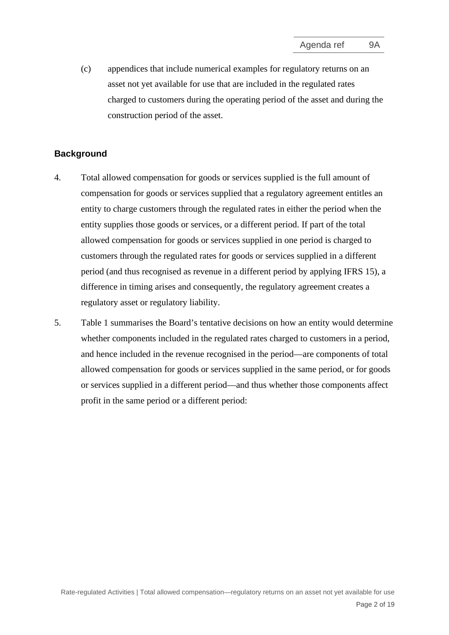(c) appendices that include numerical examples for regulatory returns on an asset not yet available for use that are included in the regulated rates charged to customers during the operating period of the asset and during the construction period of the asset.

#### **Background**

- 4. Total allowed compensation for goods or services supplied is the full amount of compensation for goods or services supplied that a regulatory agreement entitles an entity to charge customers through the regulated rates in either the period when the entity supplies those goods or services, or a different period. If part of the total allowed compensation for goods or services supplied in one period is charged to customers through the regulated rates for goods or services supplied in a different period (and thus recognised as revenue in a different period by applying IFRS 15), a difference in timing arises and consequently, the regulatory agreement creates a regulatory asset or regulatory liability.
- 5. Table 1 summarises the Board's tentative decisions on how an entity would determine whether components included in the regulated rates charged to customers in a period, and hence included in the revenue recognised in the period—are components of total allowed compensation for goods or services supplied in the same period, or for goods or services supplied in a different period—and thus whether those components affect profit in the same period or a different period: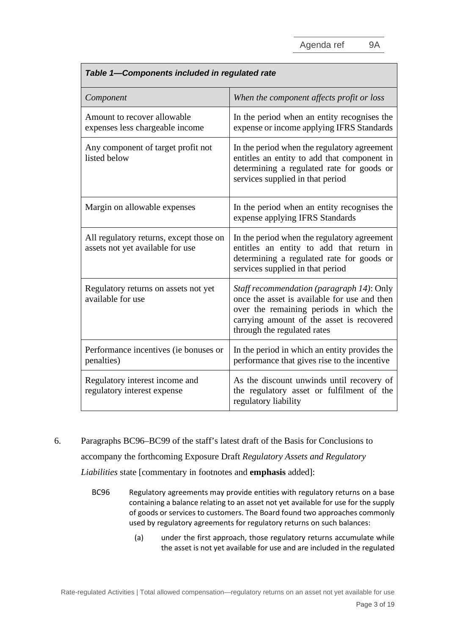| Table 1-Components included in regulated rate                               |                                                                                                                                                                                                                  |  |  |  |  |  |
|-----------------------------------------------------------------------------|------------------------------------------------------------------------------------------------------------------------------------------------------------------------------------------------------------------|--|--|--|--|--|
| Component                                                                   | When the component affects profit or loss                                                                                                                                                                        |  |  |  |  |  |
| Amount to recover allowable<br>expenses less chargeable income              | In the period when an entity recognises the<br>expense or income applying IFRS Standards                                                                                                                         |  |  |  |  |  |
| Any component of target profit not<br>listed below                          | In the period when the regulatory agreement<br>entitles an entity to add that component in<br>determining a regulated rate for goods or<br>services supplied in that period                                      |  |  |  |  |  |
| Margin on allowable expenses                                                | In the period when an entity recognises the<br>expense applying IFRS Standards                                                                                                                                   |  |  |  |  |  |
| All regulatory returns, except those on<br>assets not yet available for use | In the period when the regulatory agreement<br>entitles an entity to add that return in<br>determining a regulated rate for goods or<br>services supplied in that period                                         |  |  |  |  |  |
| Regulatory returns on assets not yet<br>available for use                   | Staff recommendation (paragraph 14): Only<br>once the asset is available for use and then<br>over the remaining periods in which the<br>carrying amount of the asset is recovered<br>through the regulated rates |  |  |  |  |  |
| Performance incentives (ie bonuses or<br>penalties)                         | In the period in which an entity provides the<br>performance that gives rise to the incentive                                                                                                                    |  |  |  |  |  |
| Regulatory interest income and<br>regulatory interest expense               | As the discount unwinds until recovery of<br>the regulatory asset or fulfilment of the<br>regulatory liability                                                                                                   |  |  |  |  |  |

6. Paragraphs BC96–BC99 of the staff's latest draft of the Basis for Conclusions to

accompany the forthcoming Exposure Draft *Regulatory Assets and Regulatory* 

*Liabilities* state [commentary in footnotes and **emphasis** added]:

- BC96 Regulatory agreements may provide entities with regulatory returns on a base containing a balance relating to an asset not yet available for use for the supply of goods or services to customers. The Board found two approaches commonly used by regulatory agreements for regulatory returns on such balances:
	- (a) under the first approach, those regulatory returns accumulate while the asset is not yet available for use and are included in the regulated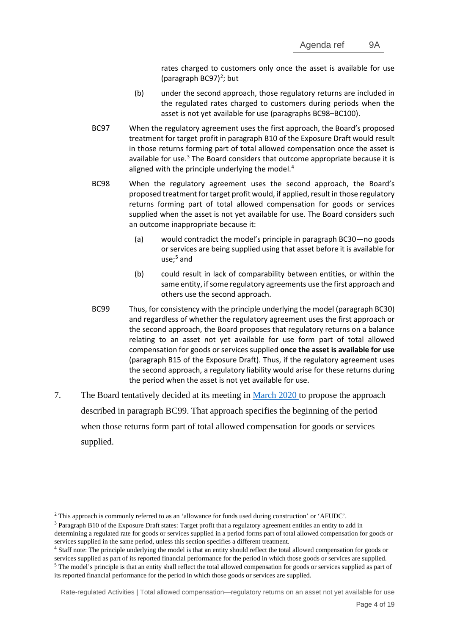rates charged to customers only once the asset is available for use (paragraph BC97)<sup>[2](#page-3-0)</sup>; but

- (b) under the second approach, those regulatory returns are included in the regulated rates charged to customers during periods when the asset is not yet available for use (paragraphs BC98–BC100).
- BC97 When the regulatory agreement uses the first approach, the Board's proposed treatment for target profit in paragraph B10 of the Exposure Draft would result in those returns forming part of total allowed compensation once the asset is available for use.<sup>[3](#page-3-1)</sup> The Board considers that outcome appropriate because it is aligned with the principle underlying the model.<sup>[4](#page-3-2)</sup>
- BC98 When the regulatory agreement uses the second approach, the Board's proposed treatment for target profit would, if applied, result in those regulatory returns forming part of total allowed compensation for goods or services supplied when the asset is not yet available for use. The Board considers such an outcome inappropriate because it:
	- (a) would contradict the model's principle in paragraph BC30—no goods or services are being supplied using that asset before it is available for use; [5](#page-3-3) and
	- (b) could result in lack of comparability between entities, or within the same entity, if some regulatory agreements use the first approach and others use the second approach.
- BC99 Thus, for consistency with the principle underlying the model (paragraph BC30) and regardless of whether the regulatory agreement uses the first approach or the second approach, the Board proposes that regulatory returns on a balance relating to an asset not yet available for use form part of total allowed compensation for goods or services supplied **once the asset is available for use** (paragraph B15 of the Exposure Draft). Thus, if the regulatory agreement uses the second approach, a regulatory liability would arise for these returns during the period when the asset is not yet available for use.
- 7. The Board tentatively decided at its meeting in [March 2020](https://www.ifrs.org/news-and-events/updates/iasb-updates/march-2020/) to propose the approach described in paragraph BC99. That approach specifies the beginning of the period when those returns form part of total allowed compensation for goods or services supplied.

Rate-regulated Activities | Total allowed compensation—regulatory returns on an asset not yet available for use

<span id="page-3-0"></span><sup>2</sup> This approach is commonly referred to as an 'allowance for funds used during construction' or 'AFUDC'.

<span id="page-3-1"></span><sup>&</sup>lt;sup>3</sup> Paragraph B10 of the Exposure Draft states: Target profit that a regulatory agreement entitles an entity to add in

determining a regulated rate for goods or services supplied in a period forms part of total allowed compensation for goods or services supplied in the same period, unless this section specifies a different treatment.

<span id="page-3-2"></span><sup>&</sup>lt;sup>4</sup> Staff note: The principle underlying the model is that an entity should reflect the total allowed compensation for goods or services supplied as part of its reported financial performance for the period in which those goods or services are supplied. <sup>5</sup> The model's principle is that an entity shall reflect the total allowed compensation for goods or services supplied as part of

<span id="page-3-3"></span>its reported financial performance for the period in which those goods or services are supplied.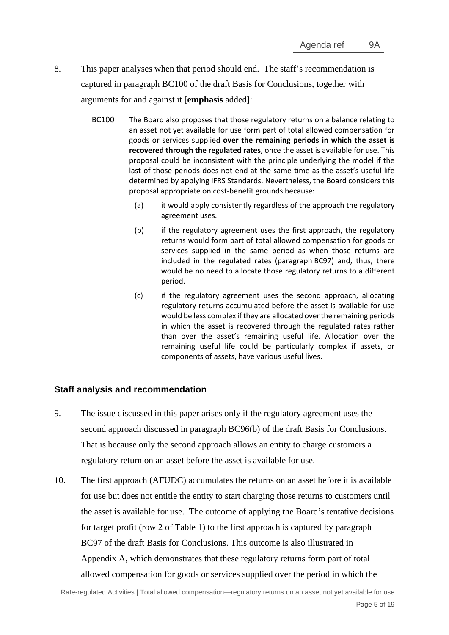- 8. This paper analyses when that period should end. The staff's recommendation is captured in paragraph BC100 of the draft Basis for Conclusions, together with arguments for and against it [**emphasis** added]:
	- BC100 The Board also proposes that those regulatory returns on a balance relating to an asset not yet available for use form part of total allowed compensation for goods or services supplied **over the remaining periods in which the asset is recovered through the regulated rates**, once the asset is available for use. This proposal could be inconsistent with the principle underlying the model if the last of those periods does not end at the same time as the asset's useful life determined by applying IFRS Standards. Nevertheless, the Board considers this proposal appropriate on cost-benefit grounds because:
		- (a) it would apply consistently regardless of the approach the regulatory agreement uses.
		- (b) if the regulatory agreement uses the first approach, the regulatory returns would form part of total allowed compensation for goods or services supplied in the same period as when those returns are included in the regulated rates (paragraph BC97) and, thus, there would be no need to allocate those regulatory returns to a different period.
		- (c) if the regulatory agreement uses the second approach, allocating regulatory returns accumulated before the asset is available for use would be less complex if they are allocated over the remaining periods in which the asset is recovered through the regulated rates rather than over the asset's remaining useful life. Allocation over the remaining useful life could be particularly complex if assets, or components of assets, have various useful lives.

# **Staff analysis and recommendation**

- 9. The issue discussed in this paper arises only if the regulatory agreement uses the second approach discussed in paragraph BC96(b) of the draft Basis for Conclusions. That is because only the second approach allows an entity to charge customers a regulatory return on an asset before the asset is available for use.
- 10. The first approach (AFUDC) accumulates the returns on an asset before it is available for use but does not entitle the entity to start charging those returns to customers until the asset is available for use. The outcome of applying the Board's tentative decisions for target profit (row 2 of Table 1) to the first approach is captured by paragraph BC97 of the draft Basis for Conclusions. This outcome is also illustrated in Appendix A, which demonstrates that these regulatory returns form part of total allowed compensation for goods or services supplied over the period in which the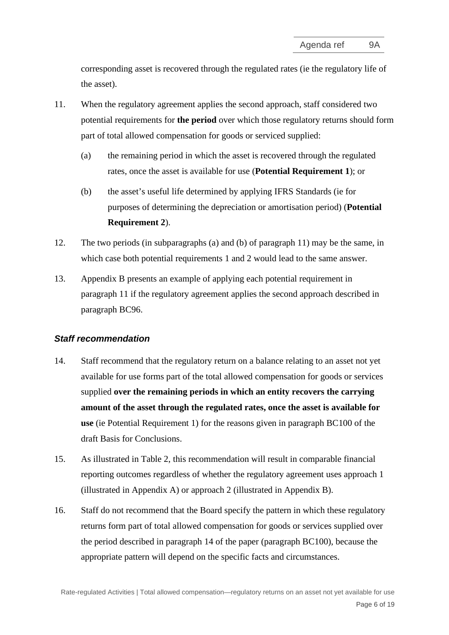corresponding asset is recovered through the regulated rates (ie the regulatory life of the asset).

- <span id="page-5-0"></span>11. When the regulatory agreement applies the second approach, staff considered two potential requirements for **the period** over which those regulatory returns should form part of total allowed compensation for goods or serviced supplied:
	- (a) the remaining period in which the asset is recovered through the regulated rates, once the asset is available for use (**Potential Requirement 1**); or
	- (b) the asset's useful life determined by applying IFRS Standards (ie for purposes of determining the depreciation or amortisation period) (**Potential Requirement 2**).
- 12. The two periods (in subparagraphs (a) and (b) of paragraph 11) may be the same, in which case both potential requirements 1 and 2 would lead to the same answer.
- 13. Appendix B presents an example of applying each potential requirement in paragraph [11](#page-5-0) if the regulatory agreement applies the second approach described in paragraph BC96.

# *Staff recommendation*

- 14. Staff recommend that the regulatory return on a balance relating to an asset not yet available for use forms part of the total allowed compensation for goods or services supplied **over the remaining periods in which an entity recovers the carrying amount of the asset through the regulated rates, once the asset is available for use** (ie Potential Requirement 1) for the reasons given in paragraph BC100 of the draft Basis for Conclusions.
- 15. As illustrated in Table 2, this recommendation will result in comparable financial reporting outcomes regardless of whether the regulatory agreement uses approach 1 (illustrated in Appendix A) or approach 2 (illustrated in Appendix B).
- 16. Staff do not recommend that the Board specify the pattern in which these regulatory returns form part of total allowed compensation for goods or services supplied over the period described in paragraph 14 of the paper (paragraph BC100), because the appropriate pattern will depend on the specific facts and circumstances.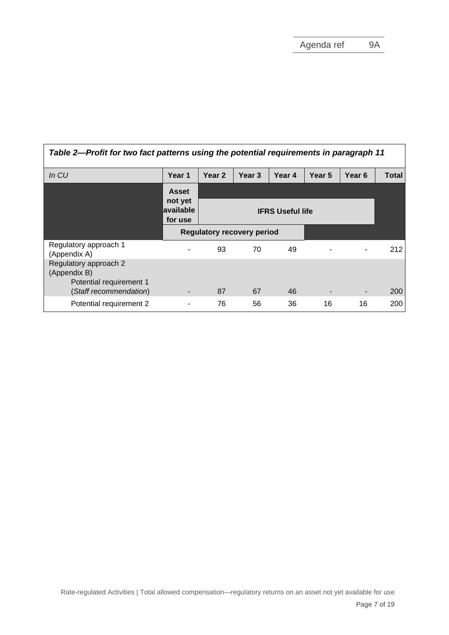| Table 2—Profit for two fact patterns using the potential requirements in paragraph 11 |                                 |                                   |                         |        |                |                   |              |  |
|---------------------------------------------------------------------------------------|---------------------------------|-----------------------------------|-------------------------|--------|----------------|-------------------|--------------|--|
| In CU                                                                                 | Year 1                          | Year <sub>2</sub>                 | Year <sub>3</sub>       | Year 4 | Year 5         | Year <sub>6</sub> | <b>Total</b> |  |
|                                                                                       | <b>Asset</b>                    |                                   |                         |        |                |                   |              |  |
|                                                                                       | not yet<br>available<br>for use |                                   | <b>IFRS Useful life</b> |        |                |                   |              |  |
|                                                                                       |                                 | <b>Regulatory recovery period</b> |                         |        |                |                   |              |  |
| Regulatory approach 1<br>(Appendix A)                                                 |                                 | 93                                | 70                      | 49     |                | ٠                 | 212          |  |
| Regulatory approach 2<br>(Appendix B)<br>Potential requirement 1                      |                                 |                                   |                         |        |                |                   |              |  |
| (Staff recommendation)                                                                |                                 | 87                                | 67                      | 46     | $\blacksquare$ | ٠                 | 200          |  |
| Potential requirement 2                                                               |                                 | 76                                | 56                      | 36     | 16             | 16                | 200          |  |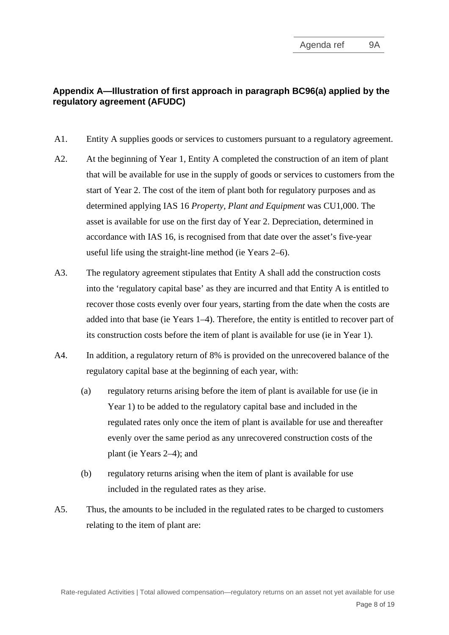# **Appendix A—Illustration of first approach in paragraph BC96(a) applied by the regulatory agreement (AFUDC)**

- A1. Entity A supplies goods or services to customers pursuant to a regulatory agreement.
- A2. At the beginning of Year 1, Entity A completed the construction of an item of plant that will be available for use in the supply of goods or services to customers from the start of Year 2. The cost of the item of plant both for regulatory purposes and as determined applying IAS 16 *Property, Plant and Equipment* was CU1,000. The asset is available for use on the first day of Year 2. Depreciation, determined in accordance with IAS 16, is recognised from that date over the asset's five-year useful life using the straight-line method (ie Years 2–6).
- A3. The regulatory agreement stipulates that Entity A shall add the construction costs into the 'regulatory capital base' as they are incurred and that Entity A is entitled to recover those costs evenly over four years, starting from the date when the costs are added into that base (ie Years 1–4). Therefore, the entity is entitled to recover part of its construction costs before the item of plant is available for use (ie in Year 1).
- A4. In addition, a regulatory return of 8% is provided on the unrecovered balance of the regulatory capital base at the beginning of each year, with:
	- (a) regulatory returns arising before the item of plant is available for use (ie in Year 1) to be added to the regulatory capital base and included in the regulated rates only once the item of plant is available for use and thereafter evenly over the same period as any unrecovered construction costs of the plant (ie Years 2–4); and
	- (b) regulatory returns arising when the item of plant is available for use included in the regulated rates as they arise.
- A5. Thus, the amounts to be included in the regulated rates to be charged to customers relating to the item of plant are: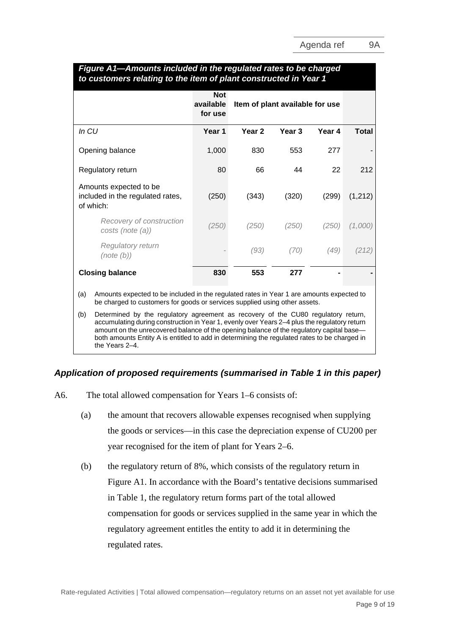| to customers relating to the item of plant constructed in Year 1        |                                    |                                 |        |        |          |  |  |  |  |  |
|-------------------------------------------------------------------------|------------------------------------|---------------------------------|--------|--------|----------|--|--|--|--|--|
|                                                                         | <b>Not</b><br>available<br>for use | Item of plant available for use |        |        |          |  |  |  |  |  |
| In CU                                                                   | Year 1                             | Year <sub>2</sub>               | Year 3 | Year 4 | Total    |  |  |  |  |  |
| Opening balance                                                         | 1,000                              | 830                             | 553    | 277    |          |  |  |  |  |  |
| Regulatory return                                                       | 80                                 | 66                              | 44     | 22     | 212      |  |  |  |  |  |
| Amounts expected to be<br>included in the regulated rates,<br>of which: | (250)                              | (343)                           | (320)  | (299)  | (1, 212) |  |  |  |  |  |
| Recovery of construction<br>costs (note (a))                            | (250)                              | (250)                           | (250)  | (250)  | (1,000)  |  |  |  |  |  |
| Regulatory return<br>(note(b))                                          |                                    | (93)                            | (70)   | (49)   | (212)    |  |  |  |  |  |
| <b>Closing balance</b>                                                  | 830                                | 553                             | 277    |        |          |  |  |  |  |  |

#### *Figure A1—Amounts included in the regulated rates to be charged to customers relating to the item of plant constructed in Year 1*

(a) Amounts expected to be included in the regulated rates in Year 1 are amounts expected to be charged to customers for goods or services supplied using other assets.

(b) Determined by the regulatory agreement as recovery of the CU80 regulatory return, accumulating during construction in Year 1, evenly over Years 2–4 plus the regulatory return amount on the unrecovered balance of the opening balance of the regulatory capital base both amounts Entity A is entitled to add in determining the regulated rates to be charged in the Years 2–4.

# *Application of proposed requirements (summarised in Table 1 in this paper)*

- A6. The total allowed compensation for Years 1–6 consists of:
	- (a) the amount that recovers allowable expenses recognised when supplying the goods or services—in this case the depreciation expense of CU200 per year recognised for the item of plant for Years 2–6.
	- (b) the regulatory return of 8%, which consists of the regulatory return in Figure A1. In accordance with the Board's tentative decisions summarised in Table 1, the regulatory return forms part of the total allowed compensation for goods or services supplied in the same year in which the regulatory agreement entitles the entity to add it in determining the regulated rates.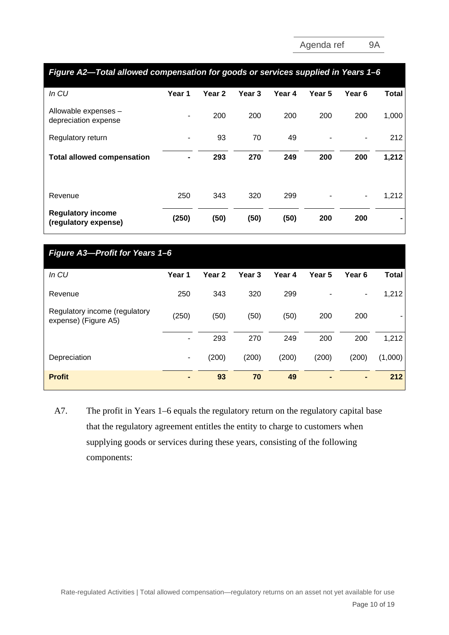| Figure A2—Total allowed compensation for goods or services supplied in Years 1–6 |        |                   |        |        |        |        |       |  |
|----------------------------------------------------------------------------------|--------|-------------------|--------|--------|--------|--------|-------|--|
| In CU                                                                            | Year 1 | Year <sub>2</sub> | Year 3 | Year 4 | Year 5 | Year 6 | Total |  |
| Allowable expenses -<br>depreciation expense                                     |        | 200               | 200    | 200    | 200    | 200    | 1,000 |  |
| Regulatory return                                                                |        | 93                | 70     | 49     |        |        | 212   |  |
| <b>Total allowed compensation</b>                                                |        | 293               | 270    | 249    | 200    | 200    | 1,212 |  |
| Revenue                                                                          | 250    | 343               | 320    | 299    |        | ٠      | 1,212 |  |
| <b>Regulatory income</b><br>(regulatory expense)                                 | (250)  | (50)              | (50)   | (50)   | 200    | 200    |       |  |

| Figure A3-Profit for Years 1-6                        |        |                   |                   |        |                |                   |         |  |  |
|-------------------------------------------------------|--------|-------------------|-------------------|--------|----------------|-------------------|---------|--|--|
| In CU                                                 | Year 1 | Year <sub>2</sub> | Year <sub>3</sub> | Year 4 | Year 5         | Year <sub>6</sub> | Total   |  |  |
| Revenue                                               | 250    | 343               | 320               | 299    |                | ۰                 | 1,212   |  |  |
| Regulatory income (regulatory<br>expense) (Figure A5) | (250)  | (50)              | (50)              | (50)   | 200            | 200               |         |  |  |
|                                                       | ۰      | 293               | 270               | 249    | 200            | 200               | 1,212   |  |  |
| Depreciation                                          | ۰.     | (200)             | (200)             | (200)  | (200)          | (200)             | (1,000) |  |  |
| <b>Profit</b>                                         | ٠      | 93                | 70                | 49     | $\blacksquare$ | $\blacksquare$    | 212     |  |  |

A7. The profit in Years 1–6 equals the regulatory return on the regulatory capital base that the regulatory agreement entitles the entity to charge to customers when supplying goods or services during these years, consisting of the following components: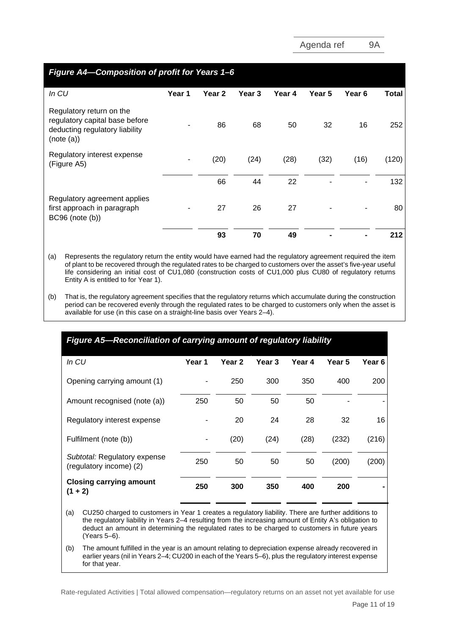| Figure A4-Composition of profit for Years 1-6                                                              |        |                   |        |        |        |                   |       |  |
|------------------------------------------------------------------------------------------------------------|--------|-------------------|--------|--------|--------|-------------------|-------|--|
| In $CU$                                                                                                    | Year 1 | Year <sub>2</sub> | Year 3 | Year 4 | Year 5 | Year <sub>6</sub> | Total |  |
| Regulatory return on the<br>regulatory capital base before<br>deducting regulatory liability<br>(note (a)) |        | 86                | 68     | 50     | 32     | 16                | 252   |  |
| Regulatory interest expense<br>(Figure A5)                                                                 |        | (20)              | (24)   | (28)   | (32)   | (16)              | (120) |  |
|                                                                                                            |        | 66                | 44     | 22     |        |                   | 132   |  |
| Regulatory agreement applies<br>first approach in paragraph<br>BC96 (note (b))                             |        | 27                | 26     | 27     |        |                   | 80    |  |
|                                                                                                            |        | 93                | 70     | 49     |        |                   | 212   |  |

(a) Represents the regulatory return the entity would have earned had the regulatory agreement required the item of plant to be recovered through the regulated rates to be charged to customers over the asset's five-year useful life considering an initial cost of CU1,080 (construction costs of CU1,000 plus CU80 of regulatory returns Entity A is entitled to for Year 1).

(b) That is, the regulatory agreement specifies that the regulatory returns which accumulate during the construction period can be recovered evenly through the regulated rates to be charged to customers only when the asset is available for use (in this case on a straight-line basis over Years 2–4).

| Figure A5–Reconciliation of carrying amount of regulatory liability |        |        |                   |        |        |        |  |  |  |  |
|---------------------------------------------------------------------|--------|--------|-------------------|--------|--------|--------|--|--|--|--|
| In CU                                                               | Year 1 | Year 2 | Year <sub>3</sub> | Year 4 | Year 5 | Year 6 |  |  |  |  |
| Opening carrying amount (1)                                         |        | 250    | 300               | 350    | 400    | 200    |  |  |  |  |
| Amount recognised (note (a))                                        | 250    | 50     | 50                | 50     |        |        |  |  |  |  |
| Regulatory interest expense                                         |        | 20     | 24                | 28     | 32     | 16     |  |  |  |  |
| Fulfilment (note (b))                                               |        | (20)   | (24)              | (28)   | (232)  | (216)  |  |  |  |  |
| Subtotal: Regulatory expense<br>(regulatory income) (2)             | 250    | 50     | 50                | 50     | (200)  | (200)  |  |  |  |  |
| <b>Closing carrying amount</b><br>$+2)$<br>(1                       | 250    | 300    | 350               | 400    | 200    |        |  |  |  |  |

(a) CU250 charged to customers in Year 1 creates a regulatory liability. There are further additions to the regulatory liability in Years 2–4 resulting from the increasing amount of Entity A's obligation to deduct an amount in determining the regulated rates to be charged to customers in future years (Years 5–6).

(b) The amount fulfilled in the year is an amount relating to depreciation expense already recovered in earlier years (nil in Years 2–4; CU200 in each of the Years 5–6), plus the regulatory interest expense for that year.

Rate-regulated Activities | Total allowed compensation—regulatory returns on an asset not yet available for use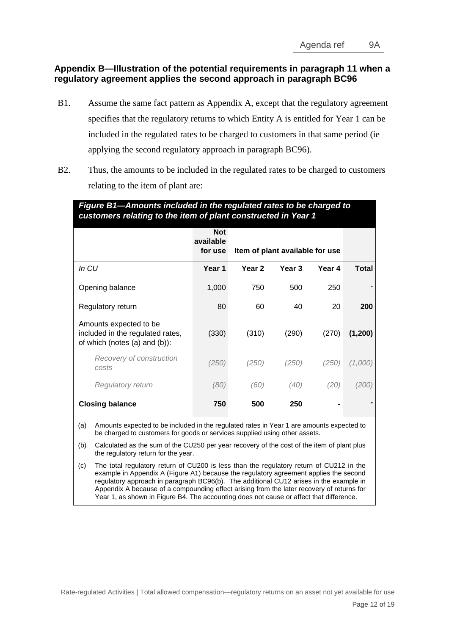## **Appendix B—Illustration of the potential requirements in paragraph 11 when a regulatory agreement applies the second approach in paragraph BC96**

- B1. Assume the same fact pattern as Appendix A, except that the regulatory agreement specifies that the regulatory returns to which Entity A is entitled for Year 1 can be included in the regulated rates to be charged to customers in that same period (ie applying the second regulatory approach in paragraph BC96).
- B2. Thus, the amounts to be included in the regulated rates to be charged to customers relating to the item of plant are:

| Figure B1—Amounts included in the regulated rates to be charged to<br>customers relating to the item of plant constructed in Year 1 |                                    |                                 |        |        |         |  |  |  |  |  |  |
|-------------------------------------------------------------------------------------------------------------------------------------|------------------------------------|---------------------------------|--------|--------|---------|--|--|--|--|--|--|
|                                                                                                                                     | <b>Not</b><br>available<br>for use | Item of plant available for use |        |        |         |  |  |  |  |  |  |
| In <i>CU</i>                                                                                                                        | Year 1                             | Year <sub>2</sub>               | Year 3 | Year 4 | Total   |  |  |  |  |  |  |
| Opening balance                                                                                                                     | 1,000                              | 750                             | 500    | 250    |         |  |  |  |  |  |  |
| Regulatory return                                                                                                                   | 80                                 | 60                              | 40     | 20     | 200     |  |  |  |  |  |  |
| Amounts expected to be<br>included in the regulated rates,<br>of which (notes (a) and (b)):                                         | (330)                              | (310)                           | (290)  | (270)  | (1,200) |  |  |  |  |  |  |
| Recovery of construction<br>costs                                                                                                   | (250)                              | (250)                           | (250)  | (250)  | (1,000) |  |  |  |  |  |  |
| <b>Regulatory return</b>                                                                                                            | (80)                               | (60)                            | (40)   | (20)   | (200)   |  |  |  |  |  |  |
| <b>Closing balance</b>                                                                                                              | 750                                | 500                             | 250    |        |         |  |  |  |  |  |  |

(a) Amounts expected to be included in the regulated rates in Year 1 are amounts expected to be charged to customers for goods or services supplied using other assets.

(b) Calculated as the sum of the CU250 per year recovery of the cost of the item of plant plus the regulatory return for the year.

(c) The total regulatory return of CU200 is less than the regulatory return of CU212 in the example in Appendix A (Figure A1) because the regulatory agreement applies the second regulatory approach in paragraph BC96(b). The additional CU12 arises in the example in Appendix A because of a compounding effect arising from the later recovery of returns for Year 1, as shown in Figure B4. The accounting does not cause or affect that difference.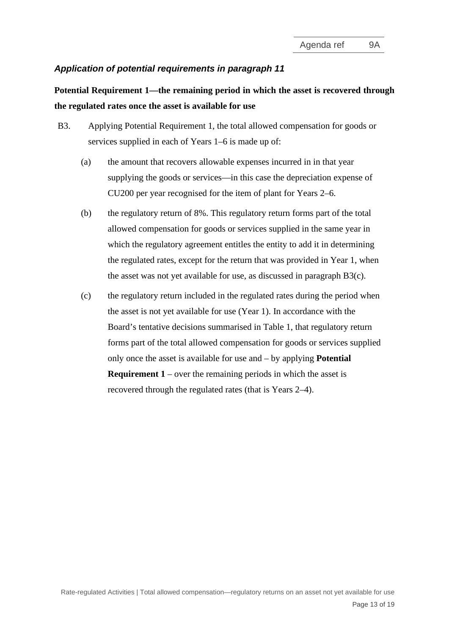# *Application of potential requirements in paragraph 11*

# **Potential Requirement 1—the remaining period in which the asset is recovered through the regulated rates once the asset is available for use**

- <span id="page-12-1"></span><span id="page-12-0"></span>B3. Applying Potential Requirement 1, the total allowed compensation for goods or services supplied in each of Years 1–6 is made up of:
	- (a) the amount that recovers allowable expenses incurred in in that year supplying the goods or services—in this case the depreciation expense of CU200 per year recognised for the item of plant for Years 2–6.
	- (b) the regulatory return of 8%. This regulatory return forms part of the total allowed compensation for goods or services supplied in the same year in which the regulatory agreement entitles the entity to add it in determining the regulated rates, except for the return that was provided in Year 1, when the asset was not yet available for use, as discussed in paragraph [B3](#page-12-0)[\(c\).](#page-12-1)
	- (c) the regulatory return included in the regulated rates during the period when the asset is not yet available for use (Year 1). In accordance with the Board's tentative decisions summarised in Table 1, that regulatory return forms part of the total allowed compensation for goods or services supplied only once the asset is available for use and – by applying **Potential Requirement 1** – over the remaining periods in which the asset is recovered through the regulated rates (that is Years 2–4).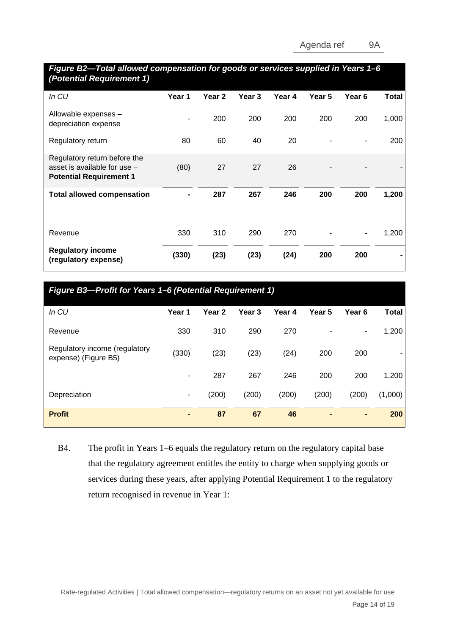| Figure B2-Total allowed compensation for goods or services supplied in Years 1-6<br>(Potential Requirement 1) |        |                   |        |        |        |        |       |
|---------------------------------------------------------------------------------------------------------------|--------|-------------------|--------|--------|--------|--------|-------|
| In CU                                                                                                         | Year 1 | Year <sub>2</sub> | Year 3 | Year 4 | Year 5 | Year 6 | Total |
| Allowable expenses -<br>depreciation expense                                                                  |        | 200               | 200    | 200    | 200    | 200    | 1,000 |
| Regulatory return                                                                                             | 80     | 60                | 40     | 20     |        |        | 200   |
| Regulatory return before the<br>asset is available for use -<br><b>Potential Requirement 1</b>                | (80)   | 27                | 27     | 26     |        |        |       |
| <b>Total allowed compensation</b>                                                                             |        | 287               | 267    | 246    | 200    | 200    | 1,200 |
| Revenue                                                                                                       | 330    | 310               | 290    | 270    |        |        | 1,200 |
| <b>Regulatory income</b><br>(regulatory expense)                                                              | (330)  | (23)              | (23)   | (24)   | 200    | 200    |       |

| Figure B3-Profit for Years 1-6 (Potential Requirement 1) |        |                   |                   |        |        |        |              |  |  |
|----------------------------------------------------------|--------|-------------------|-------------------|--------|--------|--------|--------------|--|--|
| In CU                                                    | Year 1 | Year <sub>2</sub> | Year <sub>3</sub> | Year 4 | Year 5 | Year 6 | <b>Total</b> |  |  |
| Revenue                                                  | 330    | 310               | 290               | 270    |        | ۰      | 1,200        |  |  |
| Regulatory income (regulatory<br>expense) (Figure B5)    | (330)  | (23)              | (23)              | (24)   | 200    | 200    |              |  |  |
|                                                          | ٠      | 287               | 267               | 246    | 200    | 200    | 1,200        |  |  |
| Depreciation                                             | ۰      | (200)             | (200)             | (200)  | (200)  | (200)  | (1,000)      |  |  |
| <b>Profit</b>                                            |        | 87                | 67                | 46     |        | ٠      | 200          |  |  |

B4. The profit in Years 1–6 equals the regulatory return on the regulatory capital base that the regulatory agreement entitles the entity to charge when supplying goods or services during these years, after applying Potential Requirement 1 to the regulatory return recognised in revenue in Year 1: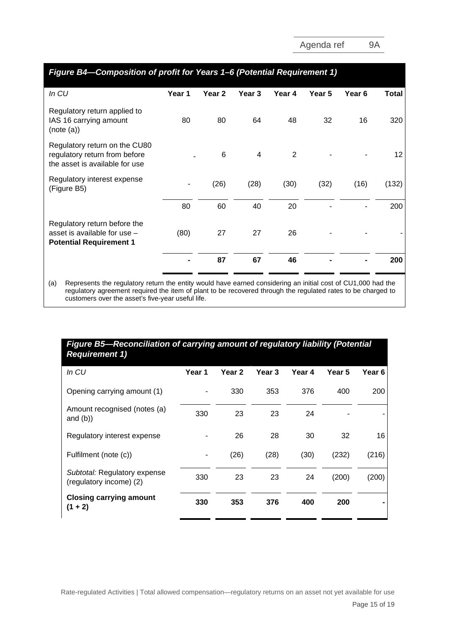| Figure B4-Composition of profit for Years 1-6 (Potential Requirement 1)                          |        |                   |        |        |        |                   |       |
|--------------------------------------------------------------------------------------------------|--------|-------------------|--------|--------|--------|-------------------|-------|
| In <sub>CU</sub>                                                                                 | Year 1 | Year <sub>2</sub> | Year 3 | Year 4 | Year 5 | Year <sub>6</sub> | Total |
| Regulatory return applied to<br>IAS 16 carrying amount<br>(note (a))                             | 80     | 80                | 64     | 48     | 32     | 16                | 320   |
| Regulatory return on the CU80<br>regulatory return from before<br>the asset is available for use |        | 6                 | 4      | 2      |        |                   | 12    |
| Regulatory interest expense<br>(Figure B5)                                                       |        | (26)              | (28)   | (30)   | (32)   | (16)              | (132) |
|                                                                                                  | 80     | 60                | 40     | 20     |        |                   | 200   |
| Regulatory return before the<br>asset is available for use -<br><b>Potential Requirement 1</b>   | (80)   | 27                | 27     | 26     |        |                   |       |
|                                                                                                  |        | 87                | 67     | 46     |        |                   | 200   |
|                                                                                                  |        |                   |        |        |        |                   |       |

(a) Represents the regulatory return the entity would have earned considering an initial cost of CU1,000 had the regulatory agreement required the item of plant to be recovered through the regulated rates to be charged to customers over the asset's five-year useful life.

# *Figure B5—Reconciliation of carrying amount of regulatory liability (Potential Requirement 1)*

| In CU                                                   | Year 1 | Year 2 | Year 3 | Year 4 | Year 5 | Year 6 |
|---------------------------------------------------------|--------|--------|--------|--------|--------|--------|
| Opening carrying amount (1)                             |        | 330    | 353    | 376    | 400    | 200    |
| Amount recognised (notes (a)<br>and $(b)$ )             | 330    | 23     | 23     | 24     |        |        |
| Regulatory interest expense                             |        | 26     | 28     | 30     | 32     | 16     |
| Fulfilment (note (c))                                   |        | (26)   | (28)   | (30)   | (232)  | (216)  |
| Subtotal: Regulatory expense<br>(regulatory income) (2) | 330    | 23     | 23     | 24     | (200)  | (200)  |
| <b>Closing carrying amount</b><br>$(1 + 2)$             | 330    | 353    | 376    | 400    | 200    |        |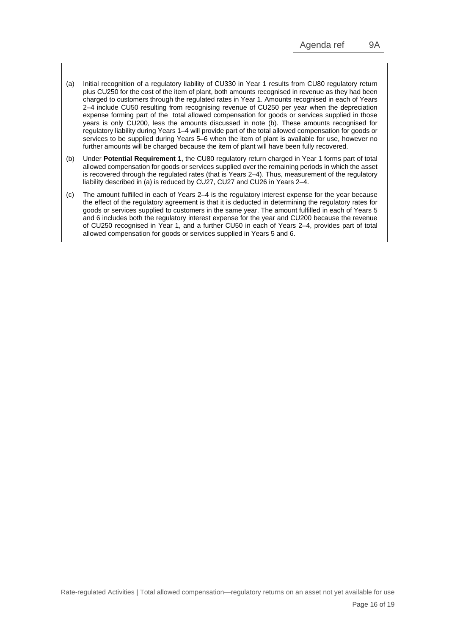- (a) Initial recognition of a regulatory liability of CU330 in Year 1 results from CU80 regulatory return plus CU250 for the cost of the item of plant, both amounts recognised in revenue as they had been charged to customers through the regulated rates in Year 1. Amounts recognised in each of Years 2–4 include CU50 resulting from recognising revenue of CU250 per year when the depreciation expense forming part of the total allowed compensation for goods or services supplied in those years is only CU200, less the amounts discussed in note (b). These amounts recognised for regulatory liability during Years 1–4 will provide part of the total allowed compensation for goods or services to be supplied during Years 5–6 when the item of plant is available for use, however no further amounts will be charged because the item of plant will have been fully recovered.
- (b) Under **Potential Requirement 1**, the CU80 regulatory return charged in Year 1 forms part of total allowed compensation for goods or services supplied over the remaining periods in which the asset is recovered through the regulated rates (that is Years 2–4). Thus, measurement of the regulatory liability described in (a) is reduced by CU27, CU27 and CU26 in Years 2–4.
- (c) The amount fulfilled in each of Years 2–4 is the regulatory interest expense for the year because the effect of the regulatory agreement is that it is deducted in determining the regulatory rates for goods or services supplied to customers in the same year. The amount fulfilled in each of Years 5 and 6 includes both the regulatory interest expense for the year and CU200 because the revenue of CU250 recognised in Year 1, and a further CU50 in each of Years 2–4, provides part of total allowed compensation for goods or services supplied in Years 5 and 6.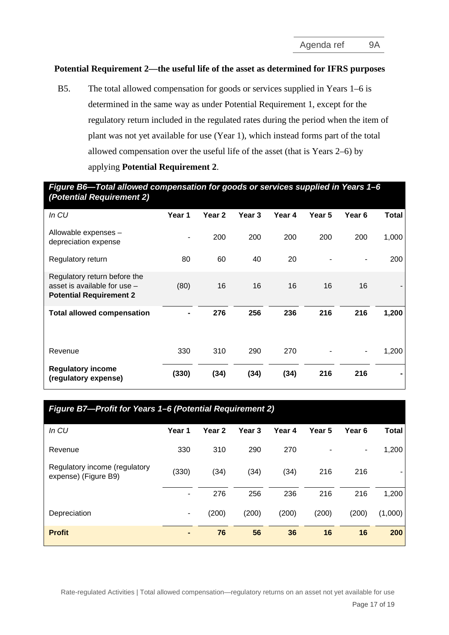### **Potential Requirement 2—the useful life of the asset as determined for IFRS purposes**

B5. The total allowed compensation for goods or services supplied in Years 1–6 is determined in the same way as under Potential Requirement 1, except for the regulatory return included in the regulated rates during the period when the item of plant was not yet available for use (Year 1), which instead forms part of the total allowed compensation over the useful life of the asset (that is Years 2–6) by applying **Potential Requirement 2**.

*Figure B6—Total allowed compensation for goods or services supplied in Years 1–6 (Potential Requirement 2)*

| In CU                                                                                            | Year 1 | Year 2 | Year 3 | Year 4 | Year 5 | Year <sub>6</sub> | Total |
|--------------------------------------------------------------------------------------------------|--------|--------|--------|--------|--------|-------------------|-------|
| Allowable expenses -<br>depreciation expense                                                     |        | 200    | 200    | 200    | 200    | 200               | 1,000 |
| Regulatory return                                                                                | 80     | 60     | 40     | 20     |        |                   | 200   |
| Regulatory return before the<br>asset is available for use $-$<br><b>Potential Requirement 2</b> | (80)   | 16     | 16     | 16     | 16     | 16                |       |
| <b>Total allowed compensation</b>                                                                |        | 276    | 256    | 236    | 216    | 216               | 1,200 |
| Revenue                                                                                          | 330    | 310    | 290    | 270    |        | ۰                 | 1,200 |
| <b>Regulatory income</b><br>(regulatory expense)                                                 | (330)  | (34)   | (34)   | (34)   | 216    | 216               |       |

| Figure B7-Profit for Years 1-6 (Potential Requirement 2) |        |                   |        |        |        |                   |              |  |  |
|----------------------------------------------------------|--------|-------------------|--------|--------|--------|-------------------|--------------|--|--|
| In CU                                                    | Year 1 | Year <sub>2</sub> | Year 3 | Year 4 | Year 5 | Year <sub>6</sub> | <b>Total</b> |  |  |
| Revenue                                                  | 330    | 310               | 290    | 270    |        | ٠                 | 1,200        |  |  |
| Regulatory income (regulatory<br>expense) (Figure B9)    | (330)  | (34)              | (34)   | (34)   | 216    | 216               |              |  |  |
|                                                          |        | 276               | 256    | 236    | 216    | 216               | 1,200        |  |  |
| Depreciation                                             | ۰      | (200)             | (200)  | (200)  | (200)  | (200)             | (1,000)      |  |  |
| <b>Profit</b>                                            |        | 76                | 56     | 36     | 16     | 16                | 200          |  |  |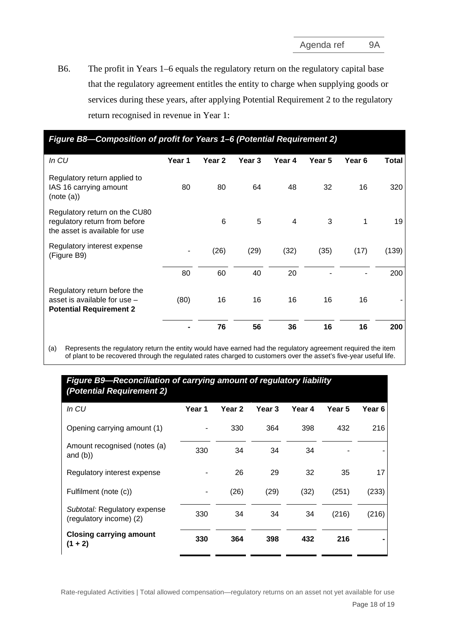B6. The profit in Years 1–6 equals the regulatory return on the regulatory capital base that the regulatory agreement entitles the entity to charge when supplying goods or services during these years, after applying Potential Requirement 2 to the regulatory return recognised in revenue in Year 1:

| Figure B8—Composition of profit for Years 1–6 (Potential Requirement 2)                          |        |                   |        |                |        |                   |              |  |
|--------------------------------------------------------------------------------------------------|--------|-------------------|--------|----------------|--------|-------------------|--------------|--|
| In CU                                                                                            | Year 1 | Year <sub>2</sub> | Year 3 | Year 4         | Year 5 | Year <sub>6</sub> | <b>Total</b> |  |
| Regulatory return applied to<br>IAS 16 carrying amount<br>(note (a))                             | 80     | 80                | 64     | 48             | 32     | 16                | 320          |  |
| Regulatory return on the CU80<br>regulatory return from before<br>the asset is available for use |        | 6                 | 5      | $\overline{4}$ | 3      | 1                 | 19           |  |
| Regulatory interest expense<br>(Figure B9)                                                       |        | (26)              | (29)   | (32)           | (35)   | (17)              | (139)        |  |
|                                                                                                  | 80     | 60                | 40     | 20             |        |                   | 200          |  |
| Regulatory return before the<br>asset is available for use -<br><b>Potential Requirement 2</b>   | (80)   | 16                | 16     | 16             | 16     | 16                |              |  |
|                                                                                                  |        | 76                | 56     | 36             | 16     | 16                | 200          |  |

(a) Represents the regulatory return the entity would have earned had the regulatory agreement required the item of plant to be recovered through the regulated rates charged to customers over the asset's five-year useful life.

# *Figure B9—Reconciliation of carrying amount of regulatory liability (Potential Requirement 2)*

| In CU                                                   | Year 1 | Year 2 | Year 3 | Year 4 | Year 5 | Year 6 |
|---------------------------------------------------------|--------|--------|--------|--------|--------|--------|
| Opening carrying amount (1)                             |        | 330    | 364    | 398    | 432    | 216    |
| Amount recognised (notes (a)<br>and $(b)$ )             | 330    | 34     | 34     | 34     |        |        |
| Regulatory interest expense                             |        | 26     | 29     | 32     | 35     | 17     |
| Fulfilment (note (c))                                   | ٠      | (26)   | (29)   | (32)   | (251)  | (233)  |
| Subtotal: Regulatory expense<br>(regulatory income) (2) | 330    | 34     | 34     | 34     | (216)  | (216)  |
| <b>Closing carrying amount</b><br>$(1 + 2)$             | 330    | 364    | 398    | 432    | 216    |        |
|                                                         |        |        |        |        |        |        |

Rate-regulated Activities | Total allowed compensation—regulatory returns on an asset not yet available for use